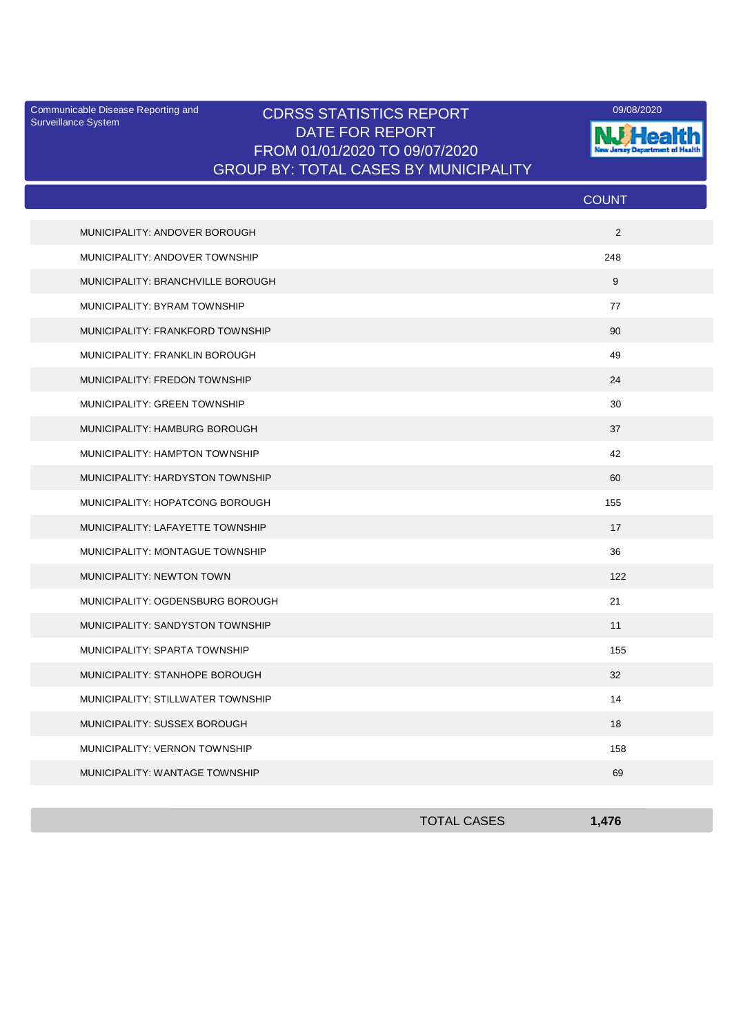Surveillance System

## Communicable Disease Reporting and CDRSS STATISTICS REPORT **COMMUNICAL COMMUNICATION** DATE FOR REPORT FROM 01/01/2020 TO 09/07/2020 GROUP BY: TOTAL CASES BY MUNICIPALITY



|                              |                                   | <b>COUNT</b>   |
|------------------------------|-----------------------------------|----------------|
|                              | MUNICIPALITY: ANDOVER BOROUGH     | $\overline{2}$ |
|                              | MUNICIPALITY: ANDOVER TOWNSHIP    | 248            |
|                              | MUNICIPALITY: BRANCHVILLE BOROUGH | 9              |
| MUNICIPALITY: BYRAM TOWNSHIP |                                   | 77             |
|                              | MUNICIPALITY: FRANKFORD TOWNSHIP  | 90             |
|                              | MUNICIPALITY: FRANKLIN BOROUGH    | 49             |
|                              | MUNICIPALITY: FREDON TOWNSHIP     | 24             |
| MUNICIPALITY: GREEN TOWNSHIP |                                   | 30             |
|                              | MUNICIPALITY: HAMBURG BOROUGH     | 37             |
|                              | MUNICIPALITY: HAMPTON TOWNSHIP    | 42             |
|                              | MUNICIPALITY: HARDYSTON TOWNSHIP  | 60             |
|                              | MUNICIPALITY: HOPATCONG BOROUGH   | 155            |
|                              | MUNICIPALITY: LAFAYETTE TOWNSHIP  | 17             |
|                              | MUNICIPALITY: MONTAGUE TOWNSHIP   | 36             |
| MUNICIPALITY: NEWTON TOWN    |                                   | 122            |
|                              | MUNICIPALITY: OGDENSBURG BOROUGH  | 21             |
|                              | MUNICIPALITY: SANDYSTON TOWNSHIP  | 11             |
|                              | MUNICIPALITY: SPARTA TOWNSHIP     | 155            |
|                              | MUNICIPALITY: STANHOPE BOROUGH    | 32             |
|                              | MUNICIPALITY: STILLWATER TOWNSHIP | 14             |
|                              | MUNICIPALITY: SUSSEX BOROUGH      | 18             |
|                              | MUNICIPALITY: VERNON TOWNSHIP     | 158            |
|                              | MUNICIPALITY: WANTAGE TOWNSHIP    | 69             |

| <b>TOTAL CASES</b> | 1.17C |
|--------------------|-------|
|                    |       |